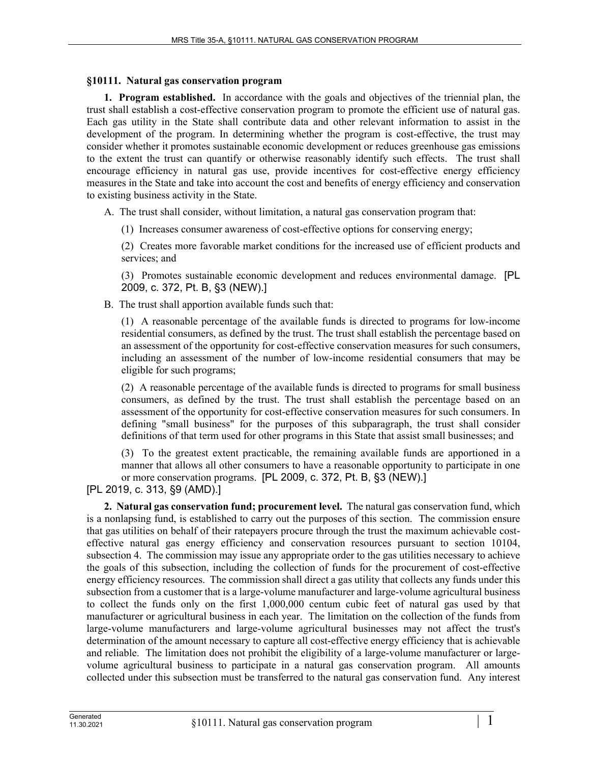## **§10111. Natural gas conservation program**

**1. Program established.** In accordance with the goals and objectives of the triennial plan, the trust shall establish a cost-effective conservation program to promote the efficient use of natural gas. Each gas utility in the State shall contribute data and other relevant information to assist in the development of the program. In determining whether the program is cost-effective, the trust may consider whether it promotes sustainable economic development or reduces greenhouse gas emissions to the extent the trust can quantify or otherwise reasonably identify such effects. The trust shall encourage efficiency in natural gas use, provide incentives for cost-effective energy efficiency measures in the State and take into account the cost and benefits of energy efficiency and conservation to existing business activity in the State.

A. The trust shall consider, without limitation, a natural gas conservation program that:

(1) Increases consumer awareness of cost-effective options for conserving energy;

(2) Creates more favorable market conditions for the increased use of efficient products and services; and

(3) Promotes sustainable economic development and reduces environmental damage. [PL 2009, c. 372, Pt. B, §3 (NEW).]

B. The trust shall apportion available funds such that:

(1) A reasonable percentage of the available funds is directed to programs for low-income residential consumers, as defined by the trust. The trust shall establish the percentage based on an assessment of the opportunity for cost-effective conservation measures for such consumers, including an assessment of the number of low-income residential consumers that may be eligible for such programs;

(2) A reasonable percentage of the available funds is directed to programs for small business consumers, as defined by the trust. The trust shall establish the percentage based on an assessment of the opportunity for cost-effective conservation measures for such consumers. In defining "small business" for the purposes of this subparagraph, the trust shall consider definitions of that term used for other programs in this State that assist small businesses; and

(3) To the greatest extent practicable, the remaining available funds are apportioned in a manner that allows all other consumers to have a reasonable opportunity to participate in one or more conservation programs. [PL 2009, c. 372, Pt. B, §3 (NEW).]

[PL 2019, c. 313, §9 (AMD).]

**2. Natural gas conservation fund; procurement level.** The natural gas conservation fund, which is a nonlapsing fund, is established to carry out the purposes of this section. The commission ensure that gas utilities on behalf of their ratepayers procure through the trust the maximum achievable costeffective natural gas energy efficiency and conservation resources pursuant to section 10104, subsection 4. The commission may issue any appropriate order to the gas utilities necessary to achieve the goals of this subsection, including the collection of funds for the procurement of cost-effective energy efficiency resources. The commission shall direct a gas utility that collects any funds under this subsection from a customer that is a large-volume manufacturer and large-volume agricultural business to collect the funds only on the first 1,000,000 centum cubic feet of natural gas used by that manufacturer or agricultural business in each year. The limitation on the collection of the funds from large-volume manufacturers and large-volume agricultural businesses may not affect the trust's determination of the amount necessary to capture all cost-effective energy efficiency that is achievable and reliable. The limitation does not prohibit the eligibility of a large-volume manufacturer or largevolume agricultural business to participate in a natural gas conservation program. All amounts collected under this subsection must be transferred to the natural gas conservation fund. Any interest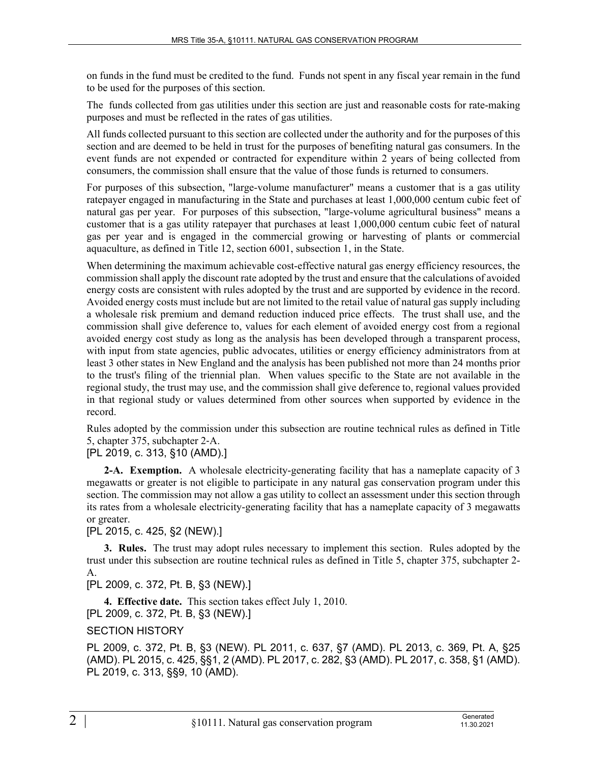on funds in the fund must be credited to the fund. Funds not spent in any fiscal year remain in the fund to be used for the purposes of this section.

The funds collected from gas utilities under this section are just and reasonable costs for rate-making purposes and must be reflected in the rates of gas utilities.

All funds collected pursuant to this section are collected under the authority and for the purposes of this section and are deemed to be held in trust for the purposes of benefiting natural gas consumers. In the event funds are not expended or contracted for expenditure within 2 years of being collected from consumers, the commission shall ensure that the value of those funds is returned to consumers.

For purposes of this subsection, "large-volume manufacturer" means a customer that is a gas utility ratepayer engaged in manufacturing in the State and purchases at least 1,000,000 centum cubic feet of natural gas per year. For purposes of this subsection, "large-volume agricultural business" means a customer that is a gas utility ratepayer that purchases at least 1,000,000 centum cubic feet of natural gas per year and is engaged in the commercial growing or harvesting of plants or commercial aquaculture, as defined in Title 12, section 6001, subsection 1, in the State.

When determining the maximum achievable cost-effective natural gas energy efficiency resources, the commission shall apply the discount rate adopted by the trust and ensure that the calculations of avoided energy costs are consistent with rules adopted by the trust and are supported by evidence in the record. Avoided energy costs must include but are not limited to the retail value of natural gas supply including a wholesale risk premium and demand reduction induced price effects. The trust shall use, and the commission shall give deference to, values for each element of avoided energy cost from a regional avoided energy cost study as long as the analysis has been developed through a transparent process, with input from state agencies, public advocates, utilities or energy efficiency administrators from at least 3 other states in New England and the analysis has been published not more than 24 months prior to the trust's filing of the triennial plan. When values specific to the State are not available in the regional study, the trust may use, and the commission shall give deference to, regional values provided in that regional study or values determined from other sources when supported by evidence in the record.

Rules adopted by the commission under this subsection are routine technical rules as defined in Title 5, chapter 375, subchapter 2‑A.

## [PL 2019, c. 313, §10 (AMD).]

**2-A. Exemption.** A wholesale electricity-generating facility that has a nameplate capacity of 3 megawatts or greater is not eligible to participate in any natural gas conservation program under this section. The commission may not allow a gas utility to collect an assessment under this section through its rates from a wholesale electricity-generating facility that has a nameplate capacity of 3 megawatts or greater.

[PL 2015, c. 425, §2 (NEW).]

**3. Rules.** The trust may adopt rules necessary to implement this section. Rules adopted by the trust under this subsection are routine technical rules as defined in Title 5, chapter 375, subchapter 2- A.

[PL 2009, c. 372, Pt. B, §3 (NEW).]

**4. Effective date.** This section takes effect July 1, 2010. [PL 2009, c. 372, Pt. B, §3 (NEW).]

## SECTION HISTORY

PL 2009, c. 372, Pt. B, §3 (NEW). PL 2011, c. 637, §7 (AMD). PL 2013, c. 369, Pt. A, §25 (AMD). PL 2015, c. 425, §§1, 2 (AMD). PL 2017, c. 282, §3 (AMD). PL 2017, c. 358, §1 (AMD). PL 2019, c. 313, §§9, 10 (AMD).